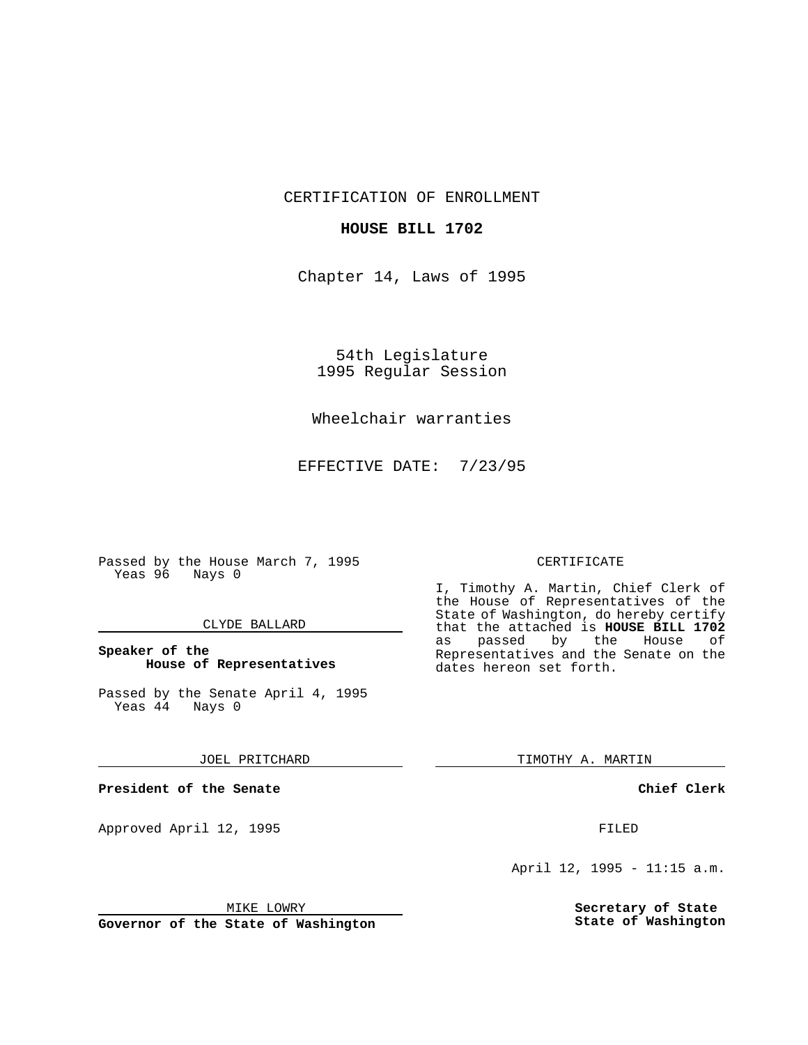CERTIFICATION OF ENROLLMENT

## **HOUSE BILL 1702**

Chapter 14, Laws of 1995

54th Legislature 1995 Regular Session

# Wheelchair warranties

EFFECTIVE DATE: 7/23/95

Passed by the House March 7, 1995 Yeas 96 Nays 0

### CLYDE BALLARD

## **Speaker of the House of Representatives**

Passed by the Senate April 4, 1995<br>Yeas 44 Nays 0  $Yeas$  44

#### JOEL PRITCHARD

**President of the Senate**

Approved April 12, 1995 FILED

# CERTIFICATE

I, Timothy A. Martin, Chief Clerk of the House of Representatives of the State of Washington, do hereby certify that the attached is **HOUSE BILL 1702** as passed by the Representatives and the Senate on the dates hereon set forth.

TIMOTHY A. MARTIN

**Chief Clerk**

April 12, 1995 - 11:15 a.m.

**Secretary of State State of Washington**

MIKE LOWRY

**Governor of the State of Washington**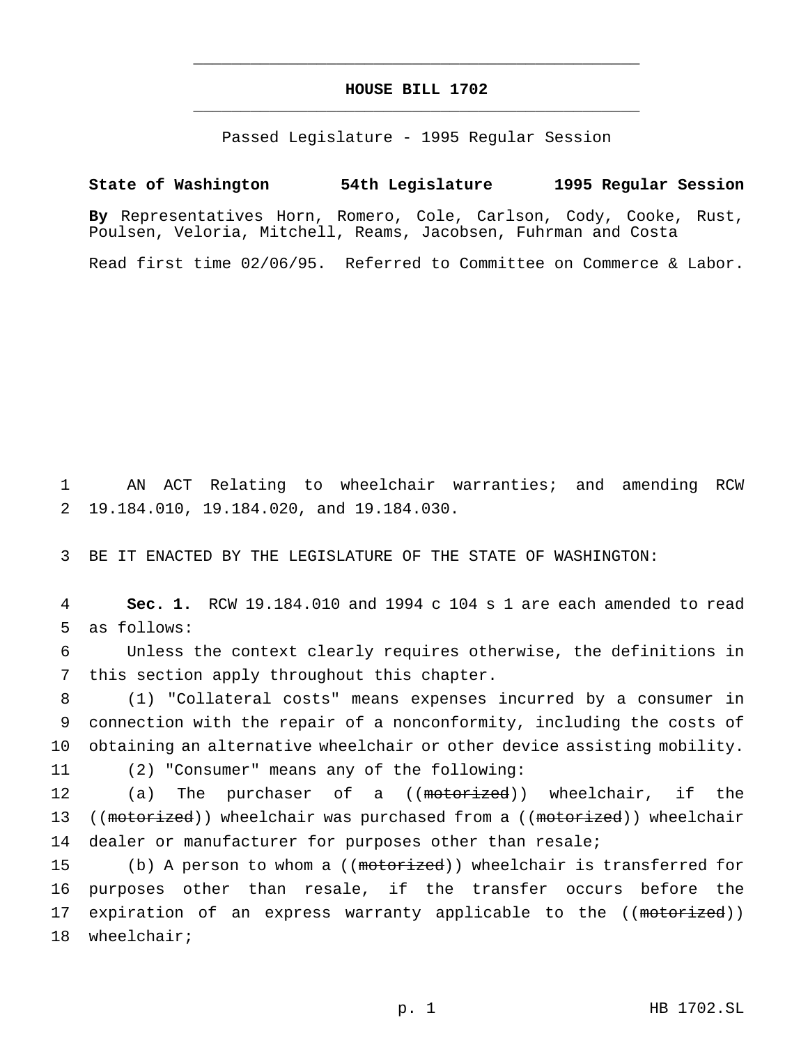# **HOUSE BILL 1702** \_\_\_\_\_\_\_\_\_\_\_\_\_\_\_\_\_\_\_\_\_\_\_\_\_\_\_\_\_\_\_\_\_\_\_\_\_\_\_\_\_\_\_\_\_\_\_

\_\_\_\_\_\_\_\_\_\_\_\_\_\_\_\_\_\_\_\_\_\_\_\_\_\_\_\_\_\_\_\_\_\_\_\_\_\_\_\_\_\_\_\_\_\_\_

Passed Legislature - 1995 Regular Session

# **State of Washington 54th Legislature 1995 Regular Session**

**By** Representatives Horn, Romero, Cole, Carlson, Cody, Cooke, Rust, Poulsen, Veloria, Mitchell, Reams, Jacobsen, Fuhrman and Costa

Read first time 02/06/95. Referred to Committee on Commerce & Labor.

1 AN ACT Relating to wheelchair warranties; and amending RCW 2 19.184.010, 19.184.020, and 19.184.030.

3 BE IT ENACTED BY THE LEGISLATURE OF THE STATE OF WASHINGTON:

4 **Sec. 1.** RCW 19.184.010 and 1994 c 104 s 1 are each amended to read 5 as follows:

6 Unless the context clearly requires otherwise, the definitions in 7 this section apply throughout this chapter.

8 (1) "Collateral costs" means expenses incurred by a consumer in 9 connection with the repair of a nonconformity, including the costs of 10 obtaining an alternative wheelchair or other device assisting mobility.

11 (2) "Consumer" means any of the following:

12 (a) The purchaser of a ((motorized)) wheelchair, if the 13 ((motorized)) wheelchair was purchased from a ((motorized)) wheelchair 14 dealer or manufacturer for purposes other than resale;

15 (b) A person to whom a ((motorized)) wheelchair is transferred for 16 purposes other than resale, if the transfer occurs before the 17 expiration of an express warranty applicable to the ((motorized)) 18 wheelchair;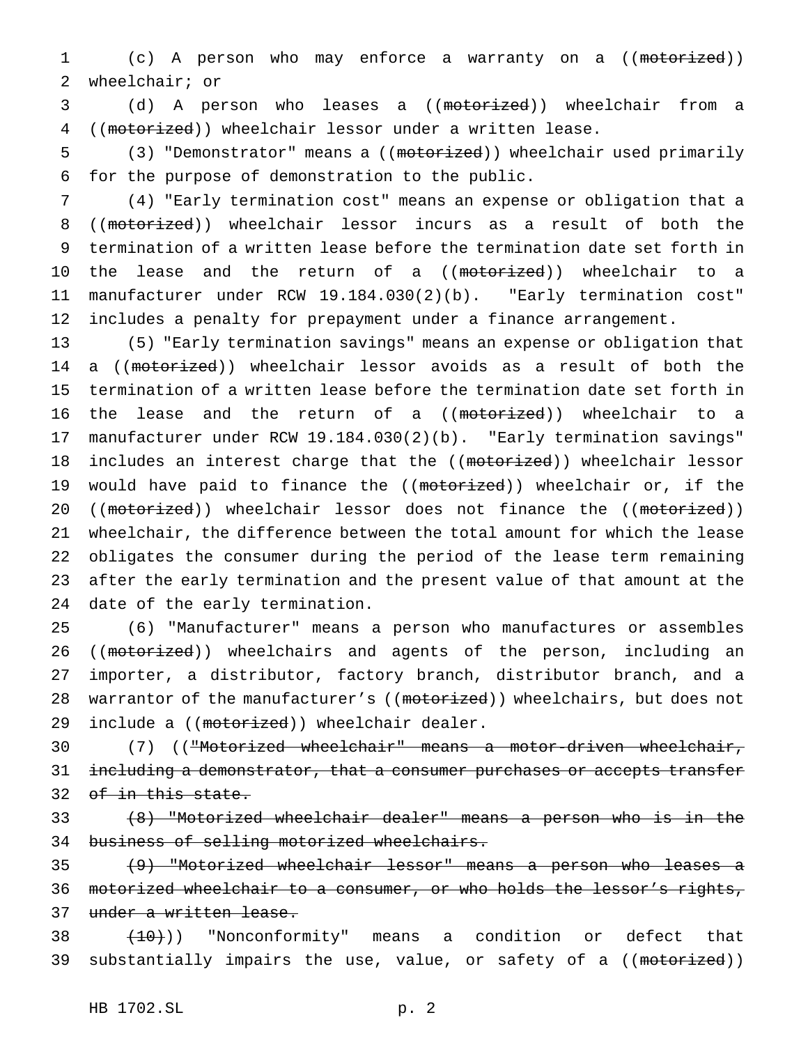1 (c) A person who may enforce a warranty on a ((motorized)) 2 wheelchair; or

3 (d) A person who leases a ((motorized)) wheelchair from a 4 ((motorized)) wheelchair lessor under a written lease.

5 (3) "Demonstrator" means a ((motorized)) wheelchair used primarily 6 for the purpose of demonstration to the public.

 (4) "Early termination cost" means an expense or obligation that a ((motorized)) wheelchair lessor incurs as a result of both the termination of a written lease before the termination date set forth in 10 the lease and the return of a ((motorized)) wheelchair to a manufacturer under RCW 19.184.030(2)(b). "Early termination cost" includes a penalty for prepayment under a finance arrangement.

13 (5) "Early termination savings" means an expense or obligation that 14 a ((motorized)) wheelchair lessor avoids as a result of both the 15 termination of a written lease before the termination date set forth in 16 the lease and the return of a ((motorized)) wheelchair to a 17 manufacturer under RCW 19.184.030(2)(b). "Early termination savings" 18 includes an interest charge that the ((motorized)) wheelchair lessor 19 would have paid to finance the ((motorized)) wheelchair or, if the 20 ((motorized)) wheelchair lessor does not finance the ((motorized)) 21 wheelchair, the difference between the total amount for which the lease 22 obligates the consumer during the period of the lease term remaining 23 after the early termination and the present value of that amount at the 24 date of the early termination.

25 (6) "Manufacturer" means a person who manufactures or assembles 26 ((motorized)) wheelchairs and agents of the person, including an 27 importer, a distributor, factory branch, distributor branch, and a 28 warrantor of the manufacturer's ((motorized)) wheelchairs, but does not 29 include a ((motorized)) wheelchair dealer.

30 (7) (("Motorized wheelchair" means a motor-driven wheelchair, 31 including a demonstrator, that a consumer purchases or accepts transfer 32 of in this state.

33 (8) "Motorized wheelchair dealer" means a person who is in the 34 business of selling motorized wheelchairs.

35 (9) "Motorized wheelchair lessor" means a person who leases a 36 motorized wheelchair to a consumer, or who holds the lessor's rights, 37 under a written lease.

 $38$   $(10)$ ) "Nonconformity" means a condition or defect that 39 substantially impairs the use, value, or safety of a ((motorized))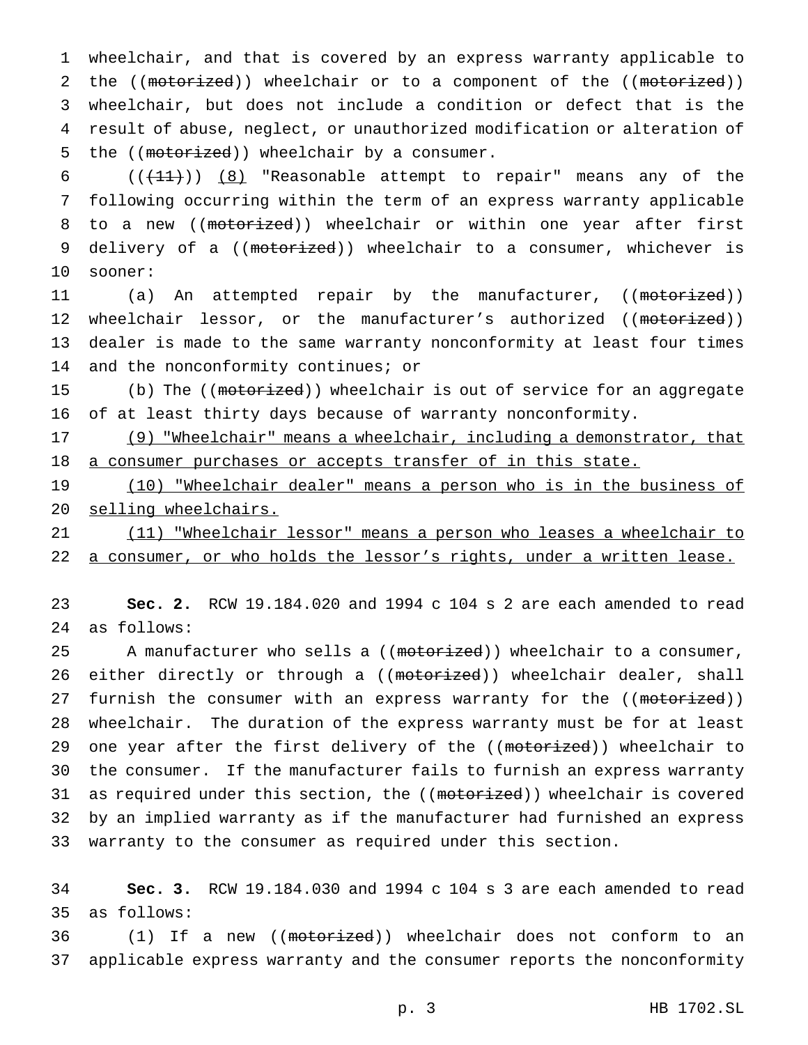1 wheelchair, and that is covered by an express warranty applicable to 2 the ((motorized)) wheelchair or to a component of the ((motorized)) 3 wheelchair, but does not include a condition or defect that is the 4 result of abuse, neglect, or unauthorized modification or alteration of 5 the ((motorized)) wheelchair by a consumer.

6  $((+11))$   $(8)$  "Reasonable attempt to repair" means any of the 7 following occurring within the term of an express warranty applicable 8 to a new ((motorized)) wheelchair or within one year after first 9 delivery of a ((motorized)) wheelchair to a consumer, whichever is 10 sooner:

11 (a) An attempted repair by the manufacturer, ((<del>motorized</del>)) 12 wheelchair lessor, or the manufacturer's authorized ((motorized)) 13 dealer is made to the same warranty nonconformity at least four times 14 and the nonconformity continues; or

15 (b) The ((motorized)) wheelchair is out of service for an aggregate 16 of at least thirty days because of warranty nonconformity.

17 (9) "Wheelchair" means a wheelchair, including a demonstrator, that 18 a consumer purchases or accepts transfer of in this state.

19 (10) "Wheelchair dealer" means a person who is in the business of 20 selling wheelchairs.

21 (11) "Wheelchair lessor" means a person who leases a wheelchair to 22 a consumer, or who holds the lessor's rights, under a written lease.

23 **Sec. 2.** RCW 19.184.020 and 1994 c 104 s 2 are each amended to read 24 as follows:

25 A manufacturer who sells a ((motorized)) wheelchair to a consumer, 26 either directly or through a ((motorized)) wheelchair dealer, shall 27 furnish the consumer with an express warranty for the ((motorized)) 28 wheelchair. The duration of the express warranty must be for at least 29 one year after the first delivery of the ((motorized)) wheelchair to 30 the consumer. If the manufacturer fails to furnish an express warranty 31 as required under this section, the ((motorized)) wheelchair is covered 32 by an implied warranty as if the manufacturer had furnished an express 33 warranty to the consumer as required under this section.

34 **Sec. 3.** RCW 19.184.030 and 1994 c 104 s 3 are each amended to read 35 as follows:

36 (1) If a new ((motorized)) wheelchair does not conform to an 37 applicable express warranty and the consumer reports the nonconformity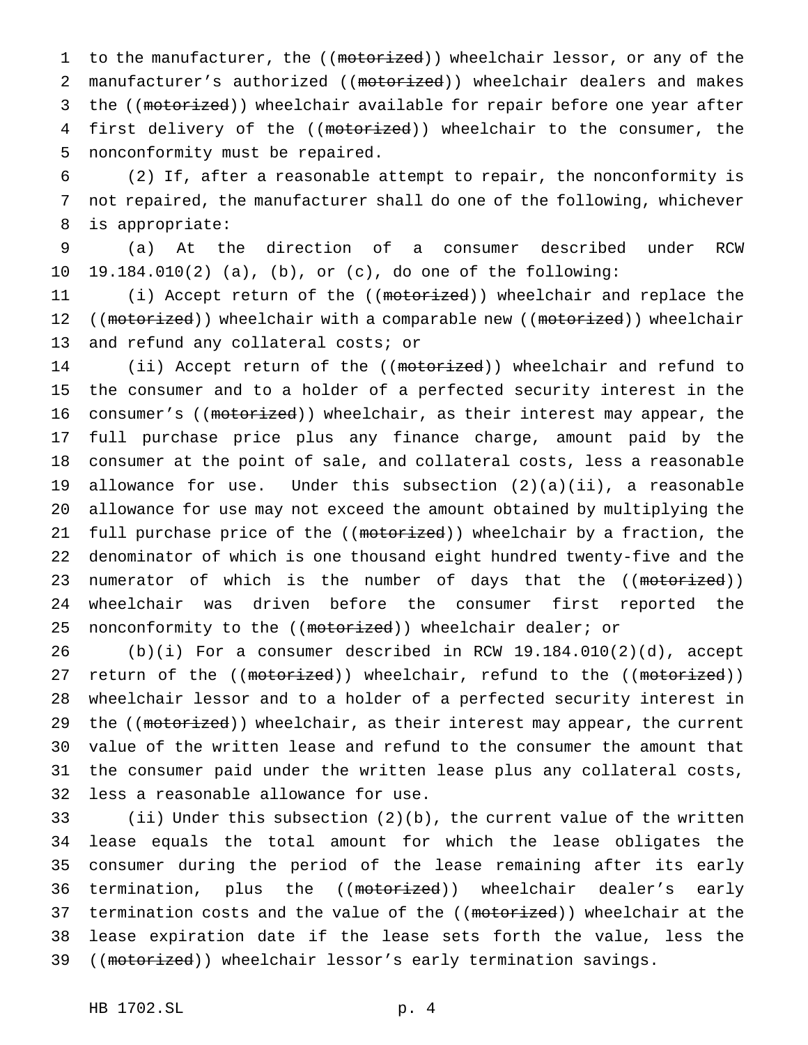1 to the manufacturer, the ((motorized)) wheelchair lessor, or any of the 2 manufacturer's authorized ((motorized)) wheelchair dealers and makes 3 the ((motorized)) wheelchair available for repair before one year after 4 first delivery of the ((motorized)) wheelchair to the consumer, the 5 nonconformity must be repaired.

6 (2) If, after a reasonable attempt to repair, the nonconformity is 7 not repaired, the manufacturer shall do one of the following, whichever 8 is appropriate:

9 (a) At the direction of a consumer described under RCW 10 19.184.010(2) (a), (b), or (c), do one of the following:

11 (i) Accept return of the ((motorized)) wheelchair and replace the 12 ((motorized)) wheelchair with a comparable new ((motorized)) wheelchair 13 and refund any collateral costs; or

14 (ii) Accept return of the ((motorized)) wheelchair and refund to 15 the consumer and to a holder of a perfected security interest in the 16 consumer's ((motorized)) wheelchair, as their interest may appear, the 17 full purchase price plus any finance charge, amount paid by the 18 consumer at the point of sale, and collateral costs, less a reasonable 19 allowance for use. Under this subsection (2)(a)(ii), a reasonable 20 allowance for use may not exceed the amount obtained by multiplying the 21 full purchase price of the ((motorized)) wheelchair by a fraction, the 22 denominator of which is one thousand eight hundred twenty-five and the 23 numerator of which is the number of days that the ((motorized)) 24 wheelchair was driven before the consumer first reported the 25 nonconformity to the ((motorized)) wheelchair dealer; or

 (b)(i) For a consumer described in RCW 19.184.010(2)(d), accept 27 return of the ((motorized)) wheelchair, refund to the ((motorized)) wheelchair lessor and to a holder of a perfected security interest in 29 the ((motorized)) wheelchair, as their interest may appear, the current value of the written lease and refund to the consumer the amount that the consumer paid under the written lease plus any collateral costs, less a reasonable allowance for use.

33 (ii) Under this subsection (2)(b), the current value of the written 34 lease equals the total amount for which the lease obligates the 35 consumer during the period of the lease remaining after its early 36 termination, plus the ((motorized)) wheelchair dealer's early 37 termination costs and the value of the ((motorized)) wheelchair at the 38 lease expiration date if the lease sets forth the value, less the 39 ((motorized)) wheelchair lessor's early termination savings.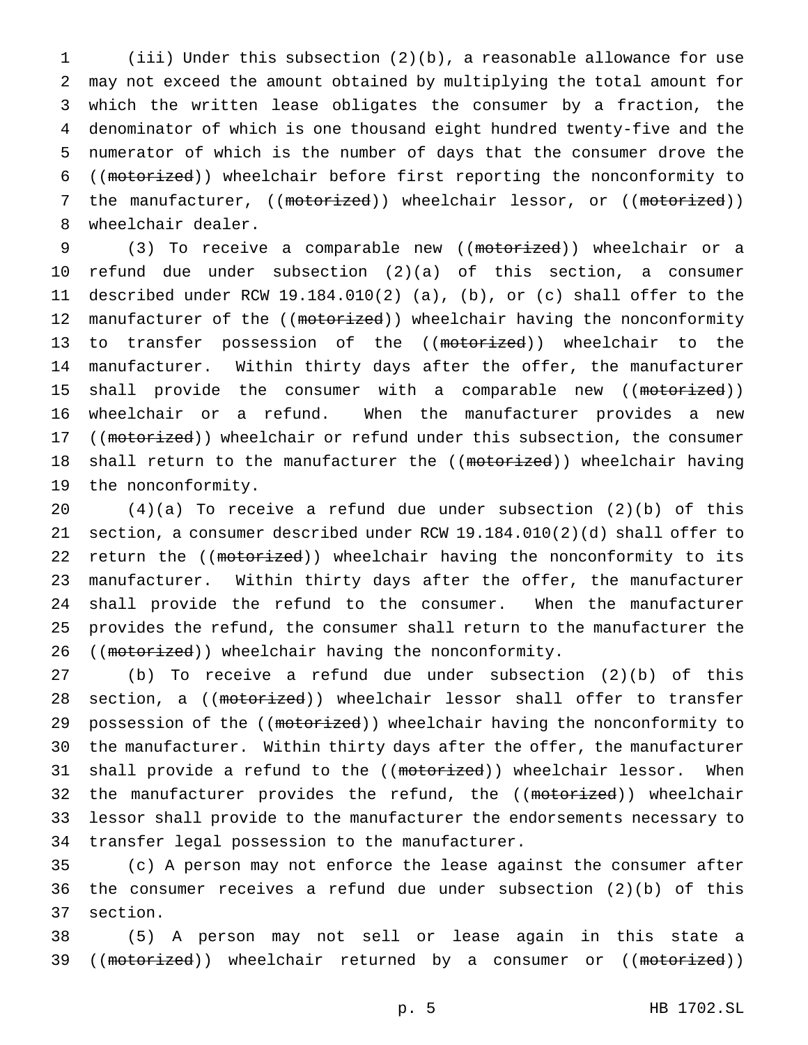(iii) Under this subsection (2)(b), a reasonable allowance for use may not exceed the amount obtained by multiplying the total amount for which the written lease obligates the consumer by a fraction, the denominator of which is one thousand eight hundred twenty-five and the numerator of which is the number of days that the consumer drove the ((motorized)) wheelchair before first reporting the nonconformity to 7 the manufacturer, ((motorized)) wheelchair lessor, or ((motorized)) wheelchair dealer.

9 (3) To receive a comparable new ((motorized)) wheelchair or a 10 refund due under subsection (2)(a) of this section, a consumer 11 described under RCW 19.184.010(2) (a), (b), or (c) shall offer to the 12 manufacturer of the ((motorized)) wheelchair having the nonconformity 13 to transfer possession of the ((motorized)) wheelchair to the 14 manufacturer. Within thirty days after the offer, the manufacturer 15 shall provide the consumer with a comparable new ((motorized)) 16 wheelchair or a refund. When the manufacturer provides a new 17 ((motorized)) wheelchair or refund under this subsection, the consumer 18 shall return to the manufacturer the ((motorized)) wheelchair having 19 the nonconformity.

 $(4)(a)$  To receive a refund due under subsection  $(2)(b)$  of this section, a consumer described under RCW 19.184.010(2)(d) shall offer to 22 return the ((motorized)) wheelchair having the nonconformity to its manufacturer. Within thirty days after the offer, the manufacturer shall provide the refund to the consumer. When the manufacturer provides the refund, the consumer shall return to the manufacturer the 26 ((motorized)) wheelchair having the nonconformity.

27 (b) To receive a refund due under subsection (2)(b) of this 28 section, a ((motorized)) wheelchair lessor shall offer to transfer 29 possession of the ((motorized)) wheelchair having the nonconformity to 30 the manufacturer. Within thirty days after the offer, the manufacturer 31 shall provide a refund to the ((motorized)) wheelchair lessor. When 32 the manufacturer provides the refund, the ((motorized)) wheelchair 33 lessor shall provide to the manufacturer the endorsements necessary to 34 transfer legal possession to the manufacturer.

35 (c) A person may not enforce the lease against the consumer after 36 the consumer receives a refund due under subsection (2)(b) of this 37 section.

38 (5) A person may not sell or lease again in this state a 39 ((motorized)) wheelchair returned by a consumer or ((motorized))